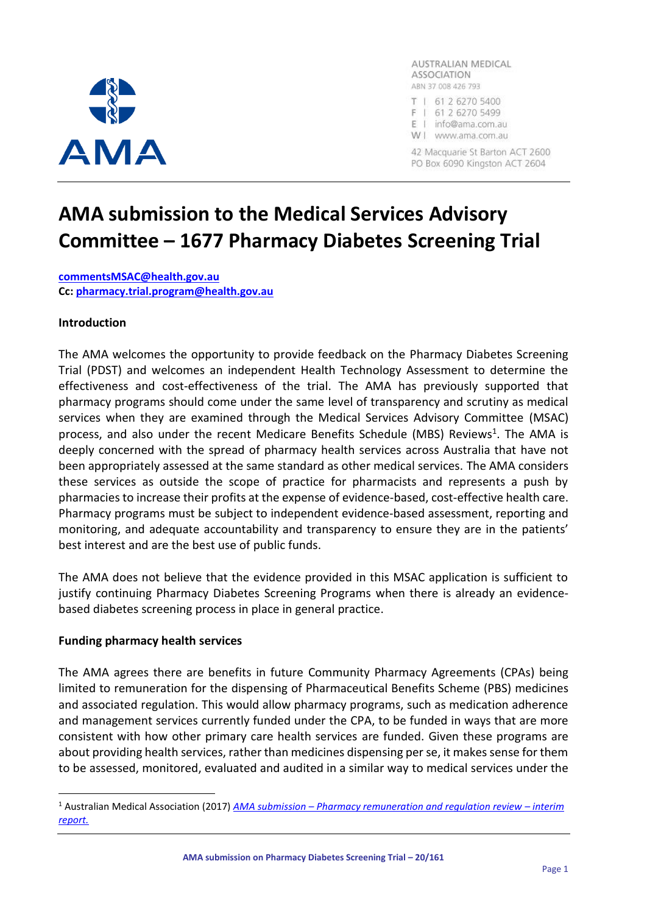

AUSTRALIAN MEDICAL **ASSOCIATION** ABN 37 008 426 793 T | 61 2 6270 5400 F | 61 2 6270 5499 E | info@ama.com.au W | www.ama.com.au

42 Macquarie St Barton ACT 2600 PO Box 6090 Kingston ACT 2604

# **AMA submission to the Medical Services Advisory Committee – 1677 Pharmacy Diabetes Screening Trial**

**[commentsMSAC@health.gov.au](mailto:commentsMSAC@health.gov.au) Cc: [pharmacy.trial.program@health.gov.au](mailto:pharmacy.trial.program@health.gov.au)**

#### **Introduction**

The AMA welcomes the opportunity to provide feedback on the Pharmacy Diabetes Screening Trial (PDST) and welcomes an independent Health Technology Assessment to determine the effectiveness and cost-effectiveness of the trial. The AMA has previously supported that pharmacy programs should come under the same level of transparency and scrutiny as medical services when they are examined through the Medical Services Advisory Committee (MSAC) process, and also under the recent Medicare Benefits Schedule (MBS) Reviews<sup>1</sup>. The AMA is deeply concerned with the spread of pharmacy health services across Australia that have not been appropriately assessed at the same standard as other medical services. The AMA considers these services as outside the scope of practice for pharmacists and represents a push by pharmacies to increase their profits at the expense of evidence-based, cost-effective health care. Pharmacy programs must be subject to independent evidence-based assessment, reporting and monitoring, and adequate accountability and transparency to ensure they are in the patients' best interest and are the best use of public funds.

The AMA does not believe that the evidence provided in this MSAC application is sufficient to justify continuing Pharmacy Diabetes Screening Programs when there is already an evidencebased diabetes screening process in place in general practice.

#### **Funding pharmacy health services**

The AMA agrees there are benefits in future Community Pharmacy Agreements (CPAs) being limited to remuneration for the dispensing of Pharmaceutical Benefits Scheme (PBS) medicines and associated regulation. This would allow pharmacy programs, such as medication adherence and management services currently funded under the CPA, to be funded in ways that are more consistent with how other primary care health services are funded. Given these programs are about providing health services, rather than medicines dispensing per se, it makes sense for them to be assessed, monitored, evaluated and audited in a similar way to medical services under the

<sup>1</sup> Australian Medical Association (2017) *AMA submission – [Pharmacy remuneration and regulation review](https://www.ama.com.au/submission/ama-submission-pharmacy-remuneration-and-regulation-review-0) – interim [report.](https://www.ama.com.au/submission/ama-submission-pharmacy-remuneration-and-regulation-review-0)*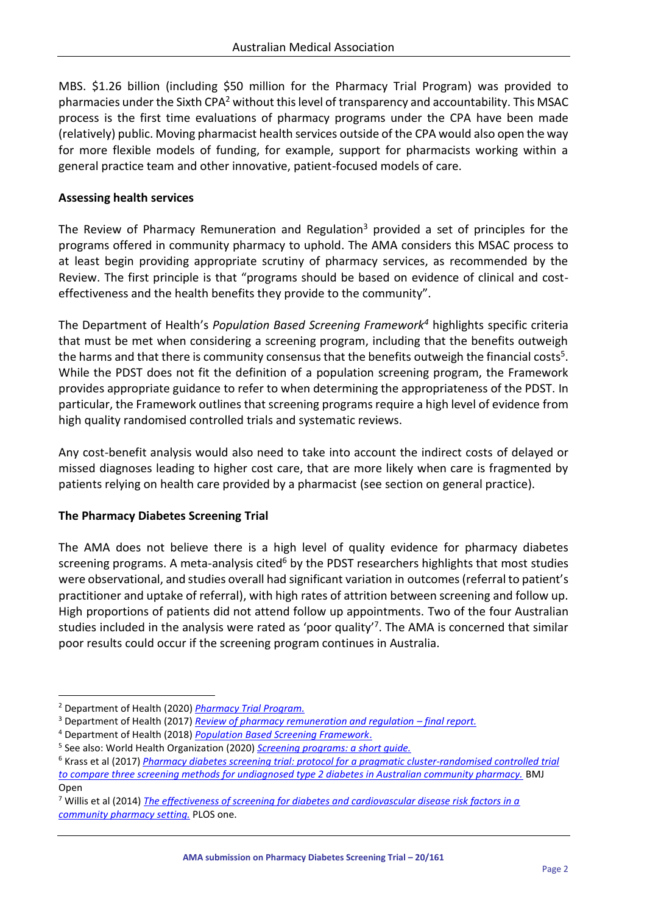MBS. \$1.26 billion (including \$50 million for the Pharmacy Trial Program) was provided to pharmacies under the Sixth CPA<sup>2</sup> without this level of transparency and accountability. This MSAC process is the first time evaluations of pharmacy programs under the CPA have been made (relatively) public. Moving pharmacist health services outside of the CPA would also open the way for more flexible models of funding, for example, support for pharmacists working within a general practice team and other innovative, patient-focused models of care.

# **Assessing health services**

The Review of Pharmacy Remuneration and Regulation<sup>3</sup> provided a set of principles for the programs offered in community pharmacy to uphold. The AMA considers this MSAC process to at least begin providing appropriate scrutiny of pharmacy services, as recommended by the Review. The first principle is that "programs should be based on evidence of clinical and costeffectiveness and the health benefits they provide to the community".

The Department of Health's *Population Based Screening Framework<sup>4</sup>* highlights specific criteria that must be met when considering a screening program, including that the benefits outweigh the harms and that there is community consensus that the benefits outweigh the financial costs<sup>5</sup>. While the PDST does not fit the definition of a population screening program, the Framework provides appropriate guidance to refer to when determining the appropriateness of the PDST. In particular, the Framework outlines that screening programs require a high level of evidence from high quality randomised controlled trials and systematic reviews.

Any cost-benefit analysis would also need to take into account the indirect costs of delayed or missed diagnoses leading to higher cost care, that are more likely when care is fragmented by patients relying on health care provided by a pharmacist (see section on general practice).

## **The Pharmacy Diabetes Screening Trial**

The AMA does not believe there is a high level of quality evidence for pharmacy diabetes screening programs. A meta-analysis cited<sup>6</sup> by the PDST researchers highlights that most studies were observational, and studies overall had significant variation in outcomes (referral to patient's practitioner and uptake of referral), with high rates of attrition between screening and follow up. High proportions of patients did not attend follow up appointments. Two of the four Australian studies included in the analysis were rated as 'poor quality'<sup>7</sup>. The AMA is concerned that similar poor results could occur if the screening program continues in Australia.

<sup>2</sup> Department of Health (2020) *[Pharmacy Trial Program.](https://www1.health.gov.au/internet/main/publishing.nsf/Content/pharmacy-trial-programme)*

<sup>3</sup> Department of Health (2017) *[Review of pharmacy remuneration and regulation](https://www1.health.gov.au/internet/main/publishing.nsf/content/7E5846EB2D7BA299CA257F5C007C0E21/$File/review-of-pharmacy-remuneration-and-regulation-final-report.pdf) – final report.*

<sup>4</sup> Department of Health (2018) *[Population Based Screening Framework](https://www.health.gov.au/sites/default/files/documents/2019/09/population-based-screening-framework_0.pdf)*.

<sup>5</sup> See also: World Health Organization (2020) *[Screening programs: a short guide.](https://apps.who.int/iris/bitstream/handle/10665/330829/9789289054782-eng.pdf)*

<sup>6</sup> Krass et al (2017) *Pharmacy diabetes screening trial: protocol for [a pragmatic cluster-randomised controlled trial](https://bmjopen.bmj.com/content/7/12/e017725)  [to compare three screening methods for undiagnosed type 2 diabetes in Australian community pharmacy.](https://bmjopen.bmj.com/content/7/12/e017725)* BMJ Open

<sup>7</sup> Willis et al (2014) *[The effectiveness of screening for diabetes and cardiovascular disease risk factors in a](https://journals.plos.org/plosone/article?id=10.1371/journal.pone.0091157)  [community pharmacy setting.](https://journals.plos.org/plosone/article?id=10.1371/journal.pone.0091157)* PLOS one.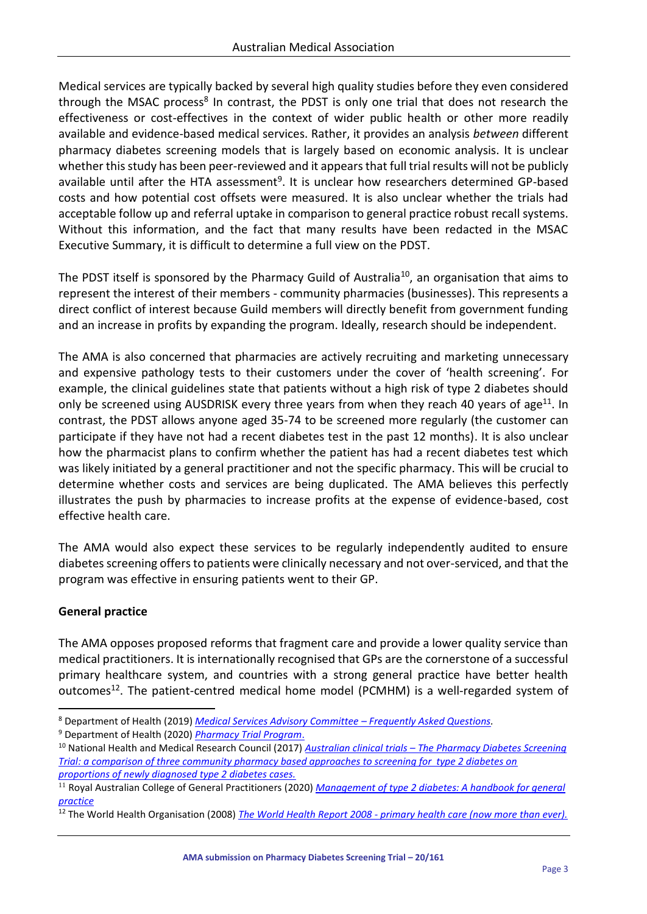Medical services are typically backed by several high quality studies before they even considered through the MSAC process<sup>8</sup> In contrast, the PDST is only one trial that does not research the effectiveness or cost-effectives in the context of wider public health or other more readily available and evidence-based medical services. Rather, it provides an analysis *between* different pharmacy diabetes screening models that is largely based on economic analysis. It is unclear whether this study has been peer-reviewed and it appears that full trial results will not be publicly available until after the HTA assessment<sup>9</sup>. It is unclear how researchers determined GP-based costs and how potential cost offsets were measured. It is also unclear whether the trials had acceptable follow up and referral uptake in comparison to general practice robust recall systems. Without this information, and the fact that many results have been redacted in the MSAC Executive Summary, it is difficult to determine a full view on the PDST.

The PDST itself is sponsored by the Pharmacy Guild of Australia<sup>10</sup>, an organisation that aims to represent the interest of their members - community pharmacies (businesses). This represents a direct conflict of interest because Guild members will directly benefit from government funding and an increase in profits by expanding the program. Ideally, research should be independent.

The AMA is also concerned that pharmacies are actively recruiting and marketing unnecessary and expensive pathology tests to their customers under the cover of 'health screening'. For example, the clinical guidelines state that patients without a high risk of type 2 diabetes should only be screened using AUSDRISK every three years from when they reach 40 years of age<sup>11</sup>. In contrast, the PDST allows anyone aged 35-74 to be screened more regularly (the customer can participate if they have not had a recent diabetes test in the past 12 months). It is also unclear how the pharmacist plans to confirm whether the patient has had a recent diabetes test which was likely initiated by a general practitioner and not the specific pharmacy. This will be crucial to determine whether costs and services are being duplicated. The AMA believes this perfectly illustrates the push by pharmacies to increase profits at the expense of evidence-based, cost effective health care.

The AMA would also expect these services to be regularly independently audited to ensure diabetes screening offers to patients were clinically necessary and not over-serviced, and that the program was effective in ensuring patients went to their GP.

## **General practice**

The AMA opposes proposed reforms that fragment care and provide a lower quality service than medical practitioners. It is internationally recognised that GPs are the cornerstone of a successful primary healthcare system, and countries with a strong general practice have better health outcomes<sup>12</sup>. The patient-centred medical home model (PCMHM) is a well-regarded system of

<sup>8</sup> Department of Health (2019) *[Medical Services Advisory Committee](http://www.msac.gov.au/internet/msac/publishing.nsf/Content/FAQ-01#FAQ1.15) – Frequently Asked Questions.*

<sup>9</sup> Department of Health (2020) *[Pharmacy Trial Program](https://www1.health.gov.au/internet/main/publishing.nsf/Content/pharmacy-trial-programme#HTA)*.

<sup>10</sup> National Health and Medical Research Council (2017) *Australian clinical trials – [The Pharmacy Diabetes Screening](https://www.australianclinicaltrials.gov.au/anzctr/trial/ACTRN12616001240437)  [Trial: a comparison of three community pharmacy based approaches to screening for type 2 diabetes on](https://www.australianclinicaltrials.gov.au/anzctr/trial/ACTRN12616001240437)  [proportions of newly diagnosed type 2 diabetes cases.](https://www.australianclinicaltrials.gov.au/anzctr/trial/ACTRN12616001240437)*

<sup>&</sup>lt;sup>11</sup> Royal Australian College of General Practitioners (2020) *Management of type 2 diabetes: A handbook for general [practice](https://www.racgp.org.au/getattachment/41fee8dc-7f97-4f87-9d90-b7af337af778/Management-of-type-2-diabetes-A-handbook-for-general-practice.aspx)*

<sup>12</sup> The World Health Organisation (2008) *The World Health Report 2008 - [primary health care \(now more than ever\).](https://www.who.int/whr/2008/en/)*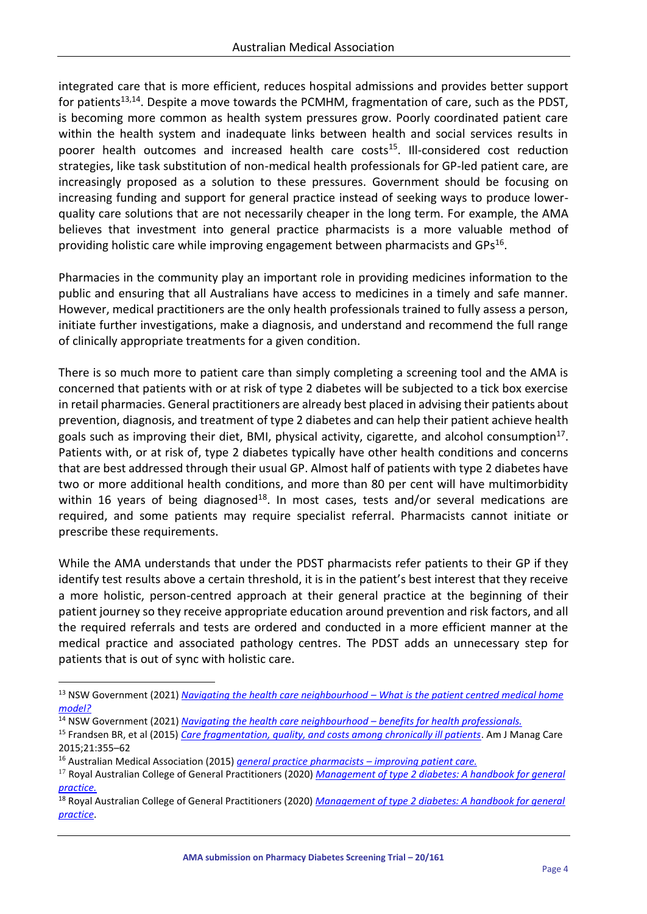integrated care that is more efficient, reduces hospital admissions and provides better support for patients<sup>13,14</sup>. Despite a move towards the PCMHM, fragmentation of care, such as the PDST, is becoming more common as health system pressures grow. Poorly coordinated patient care within the health system and inadequate links between health and social services results in poorer health outcomes and increased health care costs<sup>15</sup>. Ill-considered cost reduction strategies, like task substitution of non-medical health professionals for GP-led patient care, are increasingly proposed as a solution to these pressures. Government should be focusing on increasing funding and support for general practice instead of seeking ways to produce lowerquality care solutions that are not necessarily cheaper in the long term. For example, the AMA believes that investment into general practice pharmacists is a more valuable method of providing holistic care while improving engagement between pharmacists and GPs<sup>16</sup>.

Pharmacies in the community play an important role in providing medicines information to the public and ensuring that all Australians have access to medicines in a timely and safe manner. However, medical practitioners are the only health professionals trained to fully assess a person, initiate further investigations, make a diagnosis, and understand and recommend the full range of clinically appropriate treatments for a given condition.

There is so much more to patient care than simply completing a screening tool and the AMA is concerned that patients with or at risk of type 2 diabetes will be subjected to a tick box exercise in retail pharmacies. General practitioners are already best placed in advising their patients about prevention, diagnosis, and treatment of type 2 diabetes and can help their patient achieve health goals such as improving their diet, BMI, physical activity, cigarette, and alcohol consumption<sup>17</sup>. Patients with, or at risk of, type 2 diabetes typically have other health conditions and concerns that are best addressed through their usual GP. Almost half of patients with type 2 diabetes have two or more additional health conditions, and more than 80 per cent will have multimorbidity within 16 years of being diagnosed<sup>18</sup>. In most cases, tests and/or several medications are required, and some patients may require specialist referral. Pharmacists cannot initiate or prescribe these requirements.

While the AMA understands that under the PDST pharmacists refer patients to their GP if they identify test results above a certain threshold, it is in the patient's best interest that they receive a more holistic, person-centred approach at their general practice at the beginning of their patient journey so they receive appropriate education around prevention and risk factors, and all the required referrals and tests are ordered and conducted in a more efficient manner at the medical practice and associated pathology centres. The PDST adds an unnecessary step for patients that is out of sync with holistic care.

<sup>14</sup> NSW Government (2021) *Navigating the health care neighbourhood – benefits for health professionals.* 

<sup>16</sup> Australian Medical Association (2015) *general practice pharmacists – improving patient care.*

<sup>13</sup> NSW Government (2021) *Navigating the health care neighbourhood – What is the patient centred medical home model?*

<sup>15</sup> Frandsen BR, et al (2015) *Care fragmentation, quality, and costs among chronically ill patients*. Am J Manag Care 2015;21:355–62

<sup>&</sup>lt;sup>17</sup> Royal Australian College of General Practitioners (2020) *Management of type 2 diabetes: A handbook for general practice.*

<sup>18</sup> Royal Australian College of General Practitioners (2020) *Management of type 2 diabetes: A handbook for general practice*.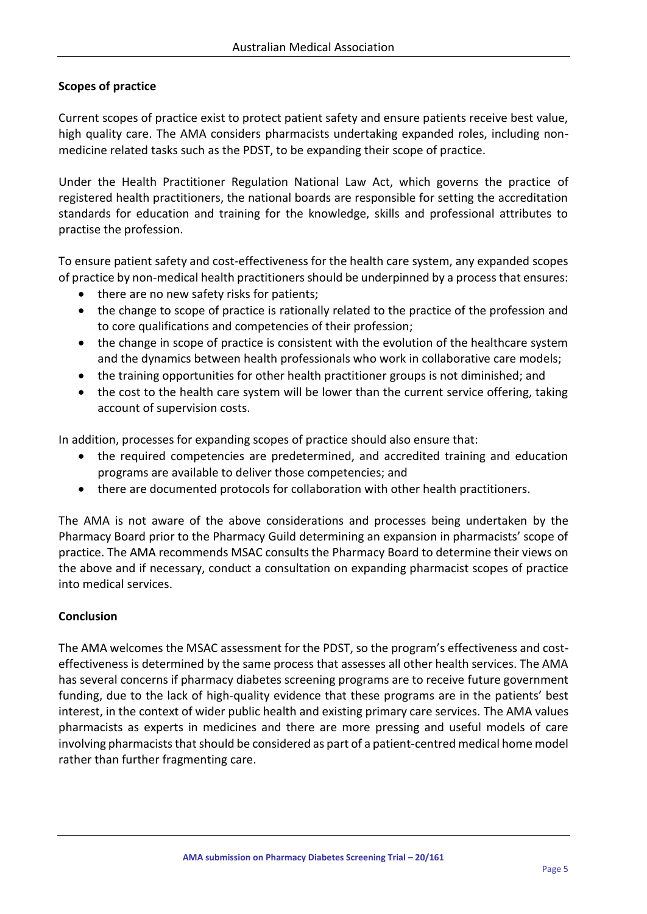## **Scopes of practice**

Current scopes of practice exist to protect patient safety and ensure patients receive best value, high quality care. The AMA considers pharmacists undertaking expanded roles, including nonmedicine related tasks such as the PDST, to be expanding their scope of practice.

Under the Health Practitioner Regulation National Law Act, which governs the practice of registered health practitioners, the national boards are responsible for setting the accreditation standards for education and training for the knowledge, skills and professional attributes to practise the profession.

To ensure patient safety and cost-effectiveness for the health care system, any expanded scopes of practice by non-medical health practitioners should be underpinned by a process that ensures:

- there are no new safety risks for patients;
- the change to scope of practice is rationally related to the practice of the profession and to core qualifications and competencies of their profession;
- the change in scope of practice is consistent with the evolution of the healthcare system and the dynamics between health professionals who work in collaborative care models;
- the training opportunities for other health practitioner groups is not diminished; and
- the cost to the health care system will be lower than the current service offering, taking account of supervision costs.

In addition, processes for expanding scopes of practice should also ensure that:

- the required competencies are predetermined, and accredited training and education programs are available to deliver those competencies; and
- there are documented protocols for collaboration with other health practitioners.

The AMA is not aware of the above considerations and processes being undertaken by the Pharmacy Board prior to the Pharmacy Guild determining an expansion in pharmacists' scope of practice. The AMA recommends MSAC consults the Pharmacy Board to determine their views on the above and if necessary, conduct a consultation on expanding pharmacist scopes of practice into medical services.

#### **Conclusion**

The AMA welcomes the MSAC assessment for the PDST, so the program's effectiveness and costeffectiveness is determined by the same process that assesses all other health services. The AMA has several concerns if pharmacy diabetes screening programs are to receive future government funding, due to the lack of high-quality evidence that these programs are in the patients' best interest, in the context of wider public health and existing primary care services. The AMA values pharmacists as experts in medicines and there are more pressing and useful models of care involving pharmacists that should be considered as part of a patient-centred medical home model rather than further fragmenting care.